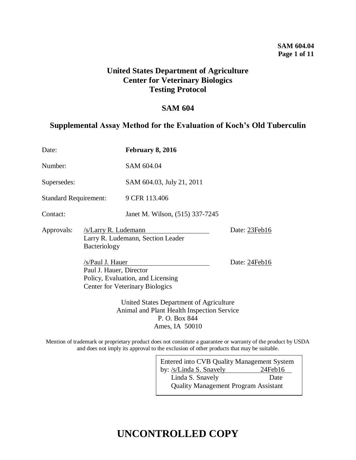### **SAM 604.04 Page 1 of 11**

## **United States Department of Agriculture Center for Veterinary Biologics Testing Protocol**

### **SAM 604**

### **Supplemental Assay Method for the Evaluation of Koch's Old Tuberculin**

| Date:                        |                                                                                                                            | <b>February 8, 2016</b>         |               |
|------------------------------|----------------------------------------------------------------------------------------------------------------------------|---------------------------------|---------------|
| Number:                      |                                                                                                                            | SAM 604.04                      |               |
| Supersedes:                  |                                                                                                                            | SAM 604.03, July 21, 2011       |               |
| <b>Standard Requirement:</b> |                                                                                                                            | 9 CFR 113.406                   |               |
| Contact:                     |                                                                                                                            | Janet M. Wilson, (515) 337-7245 |               |
| Approvals:                   | /s/Larry R. Ludemann<br>Larry R. Ludemann, Section Leader<br>Bacteriology                                                  |                                 | Date: 23Feb16 |
|                              | /s/Paul J. Hauer<br>Paul J. Hauer, Director<br>Policy, Evaluation, and Licensing<br><b>Center for Veterinary Biologics</b> |                                 | Date: 24Feb16 |
|                              | United States Department of Agriculture<br>Animal and Plant Health Inspection Service                                      |                                 |               |

P. O. Box 844 Ames, IA 50010

Mention of trademark or proprietary product does not constitute a guarantee or warranty of the product by USDA and does not imply its approval to the exclusion of other products that may be suitable.

| Entered into CVB Quality Management System  |         |  |  |
|---------------------------------------------|---------|--|--|
| by: /s/Linda S. Snavely                     | 24Feb16 |  |  |
| Linda S. Snavely                            | Date    |  |  |
| <b>Quality Management Program Assistant</b> |         |  |  |
|                                             |         |  |  |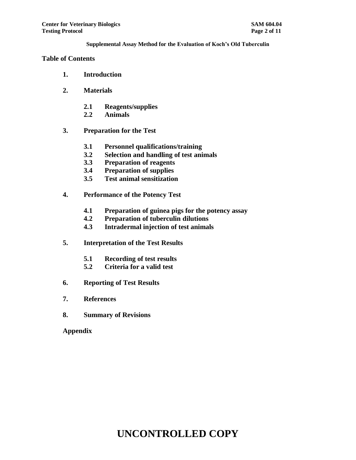#### **Table of Contents**

- **1. Introduction**
- **2. Materials**
	- **2.1 Reagents/supplies**
	- **2.2 Animals**
- **3. Preparation for the Test**
	- **3.1 Personnel qualifications/training**
	- **3.2 Selection and handling of test animals**
	- **3.3 Preparation of reagents**
	- **3.4 Preparation of supplies**
	- **3.5 Test animal sensitization**
- **4. Performance of the Potency Test**
	- **4.1 Preparation of guinea pigs for the potency assay**
	- **4.2 Preparation of tuberculin dilutions**
	- **4.3 Intradermal injection of test animals**
- **5. Interpretation of the Test Results**
	- **5.1 Recording of test results**
	- **5.2 Criteria for a valid test**
- **6. Reporting of Test Results**
- **7. References**
- **8. Summary of Revisions**

**Appendix**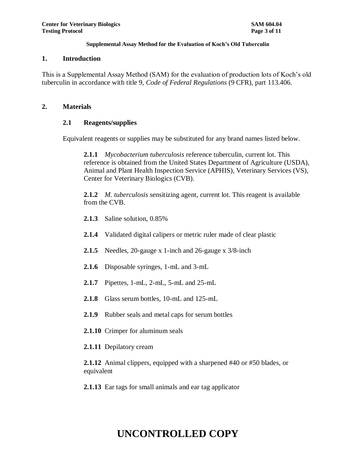#### **1. Introduction**

This is a Supplemental Assay Method (SAM) for the evaluation of production lots of Koch's old tuberculin in accordance with title 9, *Code of Federal Regulations* (9 CFR), part 113.406.

#### **2. Materials**

### **2.1 Reagents/supplies**

Equivalent reagents or supplies may be substituted for any brand names listed below.

**2.1.1** *Mycobacterium tuberculosis* reference tuberculin, current lot. This reference is obtained from the United States Department of Agriculture (USDA), Animal and Plant Health Inspection Service (APHIS), Veterinary Services (VS), Center for Veterinary Biologics (CVB).

**2.1.2** *M. tuberculosis* sensitizing agent, current lot. This reagent is available from the CVB.

- **2.1.3** Saline solution, 0.85%
- **2.1.4** Validated digital calipers or metric ruler made of clear plastic
- **2.1.5** Needles, 20-gauge x 1-inch and 26-gauge x 3/8-inch
- **2.1.6** Disposable syringes, 1-mL and 3-mL
- **2.1.7** Pipettes, 1-mL, 2-mL, 5-mL and 25-mL
- **2.1.8** Glass serum bottles, 10-mL and 125-mL
- **2.1.9** Rubber seals and metal caps for serum bottles
- **2.1.10** Crimper for aluminum seals
- **2.1.11** Depilatory cream

**2.1.12** Animal clippers, equipped with a sharpened #40 or #50 blades, or equivalent

**2.1.13** Ear tags for small animals and ear tag applicator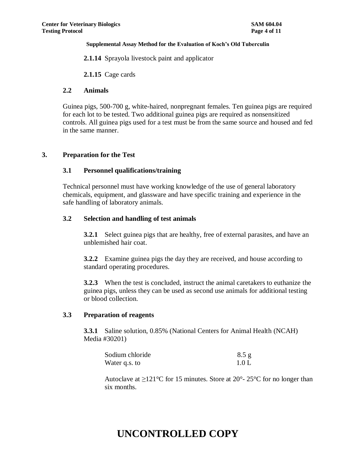**2.1.14** Sprayola livestock paint and applicator

**2.1.15** Cage cards

#### **2.2 Animals**

Guinea pigs, 500-700 g, white-haired, nonpregnant females. Ten guinea pigs are required for each lot to be tested. Two additional guinea pigs are required as nonsensitized controls. All guinea pigs used for a test must be from the same source and housed and fed in the same manner.

### **3. Preparation for the Test**

#### **3.1 Personnel qualifications/training**

Technical personnel must have working knowledge of the use of general laboratory chemicals, equipment, and glassware and have specific training and experience in the safe handling of laboratory animals.

#### **3.2 Selection and handling of test animals**

**3.2.1** Select guinea pigs that are healthy, free of external parasites, and have an unblemished hair coat.

**3.2.2** Examine guinea pigs the day they are received, and house according to standard operating procedures.

**3.2.3** When the test is concluded, instruct the animal caretakers to euthanize the guinea pigs, unless they can be used as second use animals for additional testing or blood collection.

### **3.3 Preparation of reagents**

**3.3.1** Saline solution, 0.85% (National Centers for Animal Health (NCAH) Media #30201)

| Sodium chloride | 8.5 g |
|-----------------|-------|
| Water q.s. to   | 1.0 L |

Autoclave at  $\geq 121^{\circ}$ C for 15 minutes. Store at 20°-25°C for no longer than six months.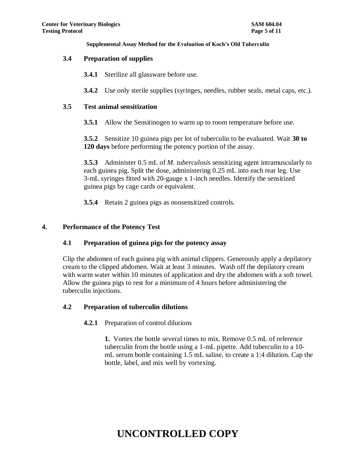#### **3.4 Preparation of supplies**

**3.4.1** Sterilize all glassware before use.

**3.4.2** Use only sterile supplies (syringes, needles, rubber seals, metal caps, etc.).

#### **3.5 Test animal sensitization**

**3.5.1** Allow the Sensitinogen to warm up to room temperature before use.

**3.5.2** Sensitize 10 guinea pigs per lot of tuberculin to be evaluated. Wait **30 to 120 days** before performing the potency portion of the assay.

**3.5.3** Administer 0.5 mL of *M. tuberculosis* sensitizing agent intramuscularly to each guinea pig. Split the dose, administering 0.25 mL into each rear leg. Use 3-mL syringes fitted with 20-gauge x 1-inch needles. Identify the sensitized guinea pigs by cage cards or equivalent.

**3.5.4** Retain 2 guinea pigs as nonsensitized controls.

#### **4. Performance of the Potency Test**

### **4.1 Preparation of guinea pigs for the potency assay**

Clip the abdomen of each guinea pig with animal clippers. Generously apply a depilatory cream to the clipped abdomen. Wait at least 3 minutes. Wash off the depilatory cream with warm water within 10 minutes of application and dry the abdomen with a soft towel. Allow the guinea pigs to rest for a minimum of 4 hours before administering the tuberculin injections.

### **4.2 Preparation of tuberculin dilutions**

### **4.2.1** Preparation of control dilutions

**1.** Vortex the bottle several times to mix. Remove 0.5 mL of reference tuberculin from the bottle using a 1-mL pipette. Add tuberculin to a 10 mL serum bottle containing 1.5 mL saline, to create a 1:4 dilution. Cap the bottle, label, and mix well by vortexing.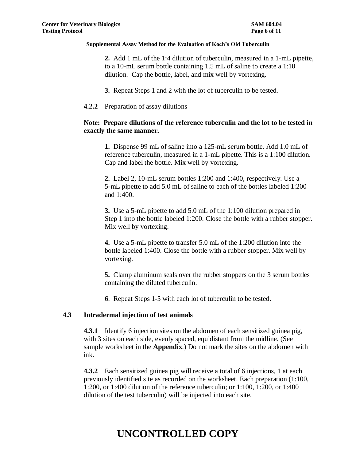**2.** Add 1 mL of the 1:4 dilution of tuberculin, measured in a 1-mL pipette, to a 10-mL serum bottle containing 1.5 mL of saline to create a 1:10 dilution. Cap the bottle, label, and mix well by vortexing.

**3.** Repeat Steps 1 and 2 with the lot of tuberculin to be tested.

#### **4.2.2** Preparation of assay dilutions

### **Note: Prepare dilutions of the reference tuberculin and the lot to be tested in exactly the same manner.**

**1.** Dispense 99 mL of saline into a 125-mL serum bottle. Add 1.0 mL of reference tuberculin, measured in a 1-mL pipette. This is a 1:100 dilution. Cap and label the bottle. Mix well by vortexing.

**2.** Label 2, 10-mL serum bottles 1:200 and 1:400, respectively. Use a 5-mL pipette to add 5.0 mL of saline to each of the bottles labeled 1:200 and 1:400.

**3.** Use a 5-mL pipette to add 5.0 mL of the 1:100 dilution prepared in Step 1 into the bottle labeled 1:200. Close the bottle with a rubber stopper. Mix well by vortexing.

**4.** Use a 5-mL pipette to transfer 5.0 mL of the 1:200 dilution into the bottle labeled 1:400. Close the bottle with a rubber stopper. Mix well by vortexing.

**5.** Clamp aluminum seals over the rubber stoppers on the 3 serum bottles containing the diluted tuberculin.

**6**. Repeat Steps 1-5 with each lot of tuberculin to be tested.

### **4.3 Intradermal injection of test animals**

**4.3.1** Identify 6 injection sites on the abdomen of each sensitized guinea pig, with 3 sites on each side, evenly spaced, equidistant from the midline. (See sample worksheet in the **Appendix**.) Do not mark the sites on the abdomen with ink.

**4.3.2** Each sensitized guinea pig will receive a total of 6 injections, 1 at each previously identified site as recorded on the worksheet. Each preparation (1:100, 1:200, or 1:400 dilution of the reference tuberculin; or 1:100, 1:200, or 1:400 dilution of the test tuberculin) will be injected into each site.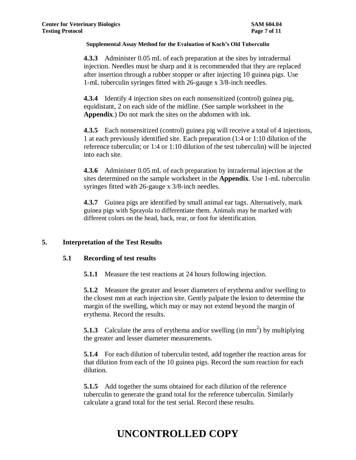**4.3.3** Administer 0.05 mL of each preparation at the sites by intradermal injection. Needles must be sharp and it is recommended that they are replaced after insertion through a rubber stopper or after injecting 10 guinea pigs. Use 1-mL tuberculin syringes fitted with 26-gauge x 3/8-inch needles.

**4.3.4** Identify 4 injection sites on each nonsensitized (control) guinea pig, equidistant, 2 on each side of the midline. (See sample worksheet in the **Appendix**.) Do not mark the sites on the abdomen with ink.

**4.3.5** Each nonsensitized (control) guinea pig will receive a total of 4 injections, 1 at each previously identified site. Each preparation (1:4 or 1:10 dilution of the reference tuberculin; or 1:4 or 1:10 dilution of the test tuberculin) will be injected into each site.

**4.3.6** Administer 0.05 mL of each preparation by intradermal injection at the sites determined on the sample worksheet in the **Appendix**. Use 1-mL tuberculin syringes fitted with 26-gauge x 3/8-inch needles.

**4.3.7** Guinea pigs are identified by small animal ear tags. Alternatively, mark guinea pigs with Sprayola to differentiate them. Animals may be marked with different colors on the head, back, rear, or foot for identification.

### **5. Interpretation of the Test Results**

### **5.1 Recording of test results**

**5.1.1** Measure the test reactions at 24 hours following injection.

**5.1.2** Measure the greater and lesser diameters of erythema and/or swelling to the closest mm at each injection site. Gently palpate the lesion to determine the margin of the swelling, which may or may not extend beyond the margin of erythema. Record the results.

**5.1.3** Calculate the area of erythema and/or swelling (in mm<sup>2</sup>) by multiplying the greater and lesser diameter measurements.

**5.1.4** For each dilution of tuberculin tested, add together the reaction areas for that dilution from each of the 10 guinea pigs. Record the sum reaction for each dilution.

**5.1.5** Add together the sums obtained for each dilution of the reference tuberculin to generate the grand total for the reference tuberculin. Similarly calculate a grand total for the test serial. Record these results.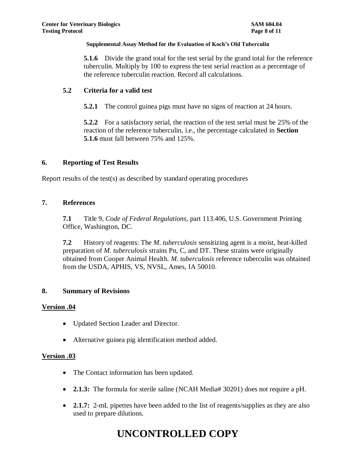**5.1.6** Divide the grand total for the test serial by the grand total for the reference tuberculin. Multiply by 100 to express the test serial reaction as a percentage of the reference tuberculin reaction. Record all calculations.

### **5.2 Criteria for a valid test**

**5.2.1** The control guinea pigs must have no signs of reaction at 24 hours.

**5.2.2** For a satisfactory serial, the reaction of the test serial must be 25% of the reaction of the reference tuberculin, i.e., the percentage calculated in **Section 5.1.6** must fall between 75% and 125%.

### **6. Reporting of Test Results**

Report results of the test(s) as described by standard operating procedures

### **7. References**

**7.1** Title 9, *Code of Federal Regulations*, part 113.406, U.S. Government Printing Office, Washington, DC.

**7.2** History of reagents: The *M. tuberculosis* sensitizing agent is a moist, heat-killed preparation of *M. tuberculosis* strains Pn, C, and DT. These strains were originally obtained from Cooper Animal Health. *M. tuberculosis* reference tuberculin was obtained from the USDA, APHIS, VS, NVSL, Ames, IA 50010.

### **8. Summary of Revisions**

### **Version .04**

- Updated Section Leader and Director.
- Alternative guinea pig identification method added.

### **Version .03**

- The Contact information has been updated.
- **2.1.3:** The formula for sterile saline (NCAH Media# 30201) does not require a pH.
- **2.1.7:** 2-mL pipettes have been added to the list of reagents/supplies as they are also used to prepare dilutions.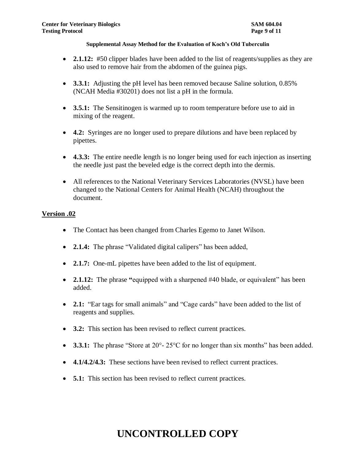- **2.1.12:** #50 clipper blades have been added to the list of reagents/supplies as they are also used to remove hair from the abdomen of the guinea pigs.
- **3.3.1:** Adjusting the pH level has been removed because Saline solution, 0.85% (NCAH Media #30201) does not list a pH in the formula.
- **3.5.1:** The Sensitinogen is warmed up to room temperature before use to aid in mixing of the reagent.
- **4.2:** Syringes are no longer used to prepare dilutions and have been replaced by pipettes.
- **4.3.3:** The entire needle length is no longer being used for each injection as inserting the needle just past the beveled edge is the correct depth into the dermis.
- All references to the National Veterinary Services Laboratories (NVSL) have been changed to the National Centers for Animal Health (NCAH) throughout the document.

### **Version .02**

- The Contact has been changed from Charles Egemo to Janet Wilson.
- **2.1.4:** The phrase "Validated digital calipers" has been added,
- **2.1.7:** One-mL pipettes have been added to the list of equipment.
- **2.1.12:** The phrase **"**equipped with a sharpened #40 blade, or equivalent" has been added.
- 2.1: "Ear tags for small animals" and "Cage cards" have been added to the list of reagents and supplies.
- **3.2:** This section has been revised to reflect current practices.
- **3.3.1:** The phrase "Store at 20°-25°C for no longer than six months" has been added.
- **4.1/4.2/4.3:** These sections have been revised to reflect current practices.
- **5.1:** This section has been revised to reflect current practices.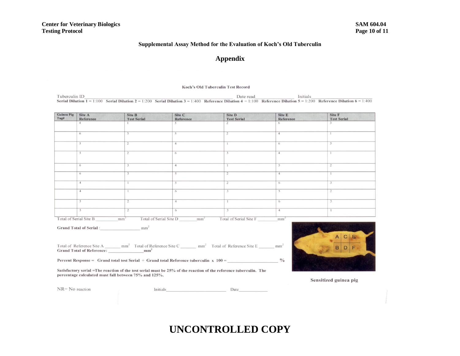#### **Appendix**

#### Koch's Old Tuberculin Test Record

Tuberculin ID Date read Initials Serial Dilution  $1 = 1:100$  Serial Dilution  $2 = 1:200$  Serial Dilution  $3 = 1:400$  Reference Dilution  $4 = 1:100$  Reference Dilution  $5 = 1:200$  Reference Dilution  $6 = 1:400$ 

**Guinea Pig** Site A Site B Site C Site D Site E Site F  $Tag#$ Reference Reference Reference **Test Serial Test Serial Test Serial**  $\overline{4}$  $\mathbf{1}$  $\varsigma$  $\mathcal{D}$ 6 6 3 5  $\overline{2}$  $\overline{4}$  $\mathbf{1}$  $5<sub>5</sub>$  $\overline{2}$  $\overline{4}$  $\overline{1}$  $6$  $\overline{\mathcal{R}}$  $\overline{4}$ 5  $\overline{2}$  $\overline{6}$ 6 3  $\overline{4}$  $\mathbf{1}$ -5  $\overline{2}$ 6  $\overline{4}$ 5  $\overline{4}$  $\overline{4}$  $\overline{2}$ 6  $\overline{5}$  $\overline{2}$  $\overline{4}$  $\mathbf{1}$ 6  $\overline{2}$ 3  $\overline{4}$ -6

Total of Serial Site B Total of Serial Site D Total of Serial Site F  $mm<sup>2</sup>$  $mm<sup>2</sup>$  $mm<sup>2</sup>$ 

**Grand Total of Serial:**  $mm<sup>2</sup>$ 

Total of Reference Site A  $mm<sup>2</sup>$  Total of Reference Site C  $mm<sup>2</sup>$  Total of Reference Site E  $mm<sup>2</sup>$ **Grand Total of Reference:**  $mm<sup>2</sup>$ 

Percent Response = Grand total test Serial  $\div$  Grand total Reference tuberculin x 100 =

Satisfactory serial =The reaction of the test serial must be 25% of the reaction of the reference tuberculin. The percentage calculated must fall between 75% and 125%.



 $\frac{0}{0}$ 

Sensitized guinea pig

 $NR = No$  reaction

Initials Date